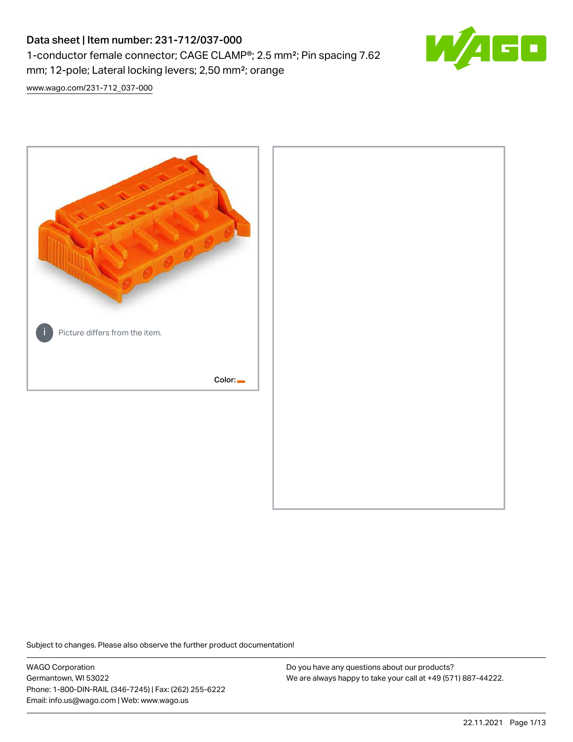# Data sheet | Item number: 231-712/037-000 1-conductor female connector; CAGE CLAMP®; 2.5 mm²; Pin spacing 7.62 mm; 12-pole; Lateral locking levers; 2,50 mm²; orange



[www.wago.com/231-712\\_037-000](http://www.wago.com/231-712_037-000)



Subject to changes. Please also observe the further product documentation!

WAGO Corporation Germantown, WI 53022 Phone: 1-800-DIN-RAIL (346-7245) | Fax: (262) 255-6222 Email: info.us@wago.com | Web: www.wago.us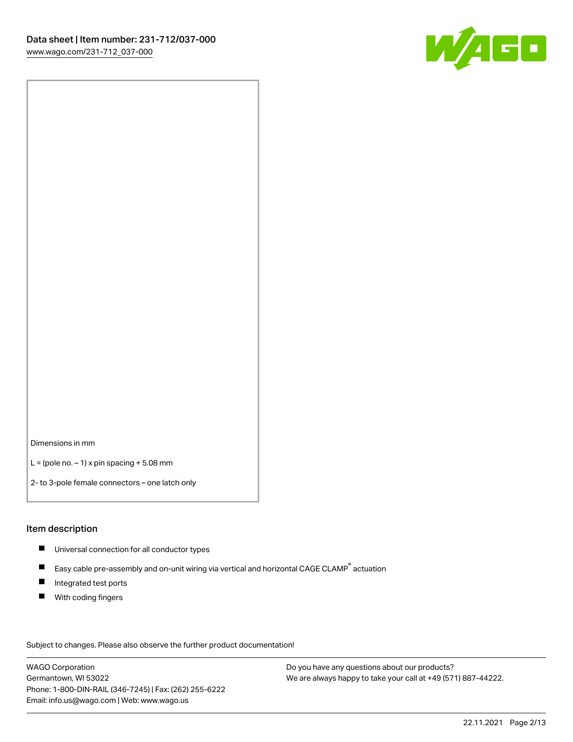

Dimensions in mm

 $L =$  (pole no.  $-1$ ) x pin spacing  $+5.08$  mm

2- to 3-pole female connectors – one latch only

#### Item description

- **Universal connection for all conductor types**
- Easy cable pre-assembly and on-unit wiring via vertical and horizontal CAGE CLAMP<sup>®</sup> actuation  $\blacksquare$
- $\blacksquare$ Integrated test ports
- $\blacksquare$ With coding fingers

Subject to changes. Please also observe the further product documentation! Data

WAGO Corporation Germantown, WI 53022 Phone: 1-800-DIN-RAIL (346-7245) | Fax: (262) 255-6222 Email: info.us@wago.com | Web: www.wago.us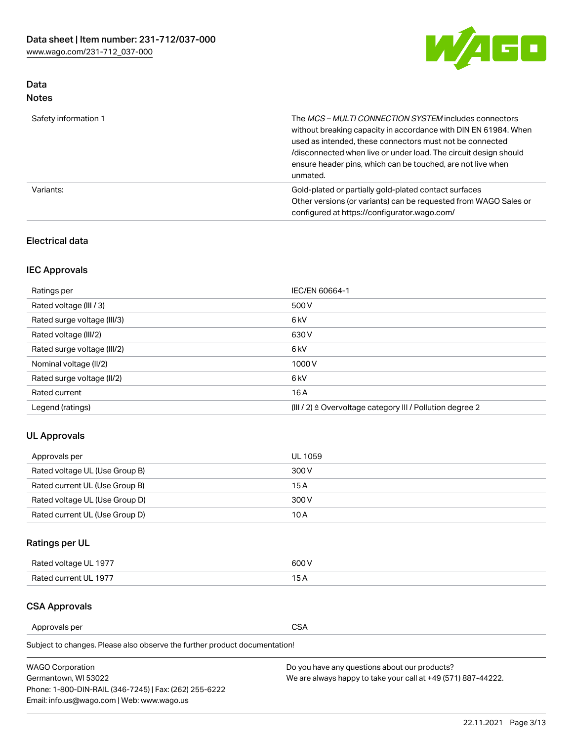

# Data Notes

| Safety information 1 | The MCS-MULTI CONNECTION SYSTEM includes connectors<br>without breaking capacity in accordance with DIN EN 61984. When<br>used as intended, these connectors must not be connected<br>/disconnected when live or under load. The circuit design should<br>ensure header pins, which can be touched, are not live when<br>unmated. |
|----------------------|-----------------------------------------------------------------------------------------------------------------------------------------------------------------------------------------------------------------------------------------------------------------------------------------------------------------------------------|
| Variants:            | Gold-plated or partially gold-plated contact surfaces<br>Other versions (or variants) can be requested from WAGO Sales or<br>configured at https://configurator.wago.com/                                                                                                                                                         |

## Electrical data

# IEC Approvals

| Ratings per                 | IEC/EN 60664-1                                                        |
|-----------------------------|-----------------------------------------------------------------------|
| Rated voltage (III / 3)     | 500 V                                                                 |
| Rated surge voltage (III/3) | 6 <sub>kV</sub>                                                       |
| Rated voltage (III/2)       | 630 V                                                                 |
| Rated surge voltage (III/2) | 6 <sub>kV</sub>                                                       |
| Nominal voltage (II/2)      | 1000V                                                                 |
| Rated surge voltage (II/2)  | 6 <sub>kV</sub>                                                       |
| Rated current               | 16A                                                                   |
| Legend (ratings)            | $(III / 2)$ $\triangle$ Overvoltage category III / Pollution degree 2 |

## UL Approvals

| Approvals per                  | UL 1059 |
|--------------------------------|---------|
| Rated voltage UL (Use Group B) | 300 V   |
| Rated current UL (Use Group B) | 15 A    |
| Rated voltage UL (Use Group D) | 300 V   |
| Rated current UL (Use Group D) | 10 A    |

# Ratings per UL

| Rated voltage UL 1977 | 600 V         |
|-----------------------|---------------|
| Rated current UL 1977 | $\sim$ $\sim$ |

## CSA Approvals

Approvals per CSA

Subject to changes. Please also observe the further product documentation!

| <b>WAGO Corporation</b>                                | Do you have any questions about our products?                 |
|--------------------------------------------------------|---------------------------------------------------------------|
| Germantown, WI 53022                                   | We are always happy to take your call at +49 (571) 887-44222. |
| Phone: 1-800-DIN-RAIL (346-7245)   Fax: (262) 255-6222 |                                                               |
| Email: info.us@wago.com   Web: www.wago.us             |                                                               |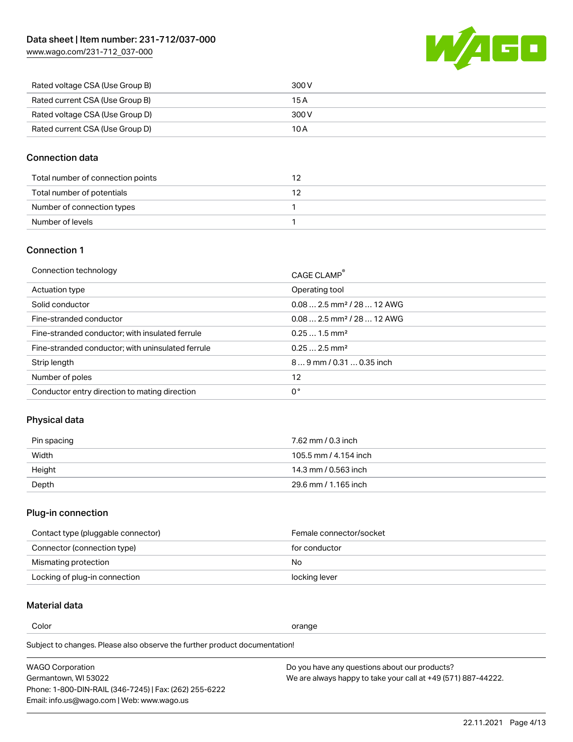[www.wago.com/231-712\\_037-000](http://www.wago.com/231-712_037-000)



| Rated voltage CSA (Use Group B) | 300 V |
|---------------------------------|-------|
| Rated current CSA (Use Group B) | 15 A  |
| Rated voltage CSA (Use Group D) | 300 V |
| Rated current CSA (Use Group D) | 10 A  |

#### Connection data

| Total number of connection points |  |
|-----------------------------------|--|
| Total number of potentials        |  |
| Number of connection types        |  |
| Number of levels                  |  |

#### Connection 1

| Connection technology                             | CAGE CLAMP®                             |
|---------------------------------------------------|-----------------------------------------|
| Actuation type                                    | Operating tool                          |
| Solid conductor                                   | $0.08$ 2.5 mm <sup>2</sup> / 28  12 AWG |
| Fine-stranded conductor                           | $0.082.5$ mm <sup>2</sup> / 28  12 AWG  |
| Fine-stranded conductor; with insulated ferrule   | $0.251.5$ mm <sup>2</sup>               |
| Fine-stranded conductor; with uninsulated ferrule | $0.252.5$ mm <sup>2</sup>               |
| Strip length                                      | $89$ mm / 0.31  0.35 inch               |
| Number of poles                                   | 12                                      |
| Conductor entry direction to mating direction     | 0°                                      |
|                                                   |                                         |

# Physical data

| Pin spacing | 7.62 mm / 0.3 inch    |
|-------------|-----------------------|
| Width       | 105.5 mm / 4.154 inch |
| Height      | 14.3 mm / 0.563 inch  |
| Depth       | 29.6 mm / 1.165 inch  |

#### Plug-in connection

| Contact type (pluggable connector) | Female connector/socket |
|------------------------------------|-------------------------|
| Connector (connection type)        | for conductor           |
| Mismating protection               | No                      |
| Locking of plug-in connection      | locking lever           |

# Material data

Color contracts and contracts of the contracts of the contracts of the contracts of the contracts of the contracts of the contracts of the contracts of the contracts of the contracts of the contracts of the contracts of th

Subject to changes. Please also observe the further product documentation! Material group I

| <b>WAGO Corporation</b>                                | Do you have any questions about our products?                 |
|--------------------------------------------------------|---------------------------------------------------------------|
| Germantown, WI 53022                                   | We are always happy to take your call at +49 (571) 887-44222. |
| Phone: 1-800-DIN-RAIL (346-7245)   Fax: (262) 255-6222 |                                                               |
| Email: info.us@wago.com   Web: www.wago.us             |                                                               |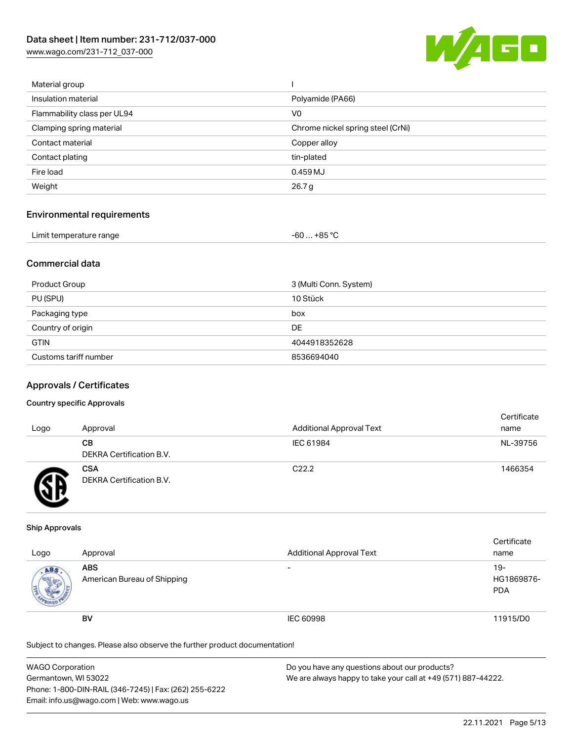[www.wago.com/231-712\\_037-000](http://www.wago.com/231-712_037-000)



| Material group              |                                   |
|-----------------------------|-----------------------------------|
| Insulation material         | Polyamide (PA66)                  |
| Flammability class per UL94 | V <sub>0</sub>                    |
| Clamping spring material    | Chrome nickel spring steel (CrNi) |
| Contact material            | Copper alloy                      |
| Contact plating             | tin-plated                        |
| Fire load                   | 0.459 MJ                          |
| Weight                      | 26.7 g                            |
|                             |                                   |

## Environmental requirements

| Limit temperature range<br>. | … +85 °C.<br>-60 |  |
|------------------------------|------------------|--|
|------------------------------|------------------|--|

### Commercial data

| Product Group         | 3 (Multi Conn. System) |
|-----------------------|------------------------|
| PU (SPU)              | 10 Stück               |
| Packaging type        | box                    |
| Country of origin     | DE                     |
| <b>GTIN</b>           | 4044918352628          |
| Customs tariff number | 8536694040             |

#### Approvals / Certificates

#### Country specific Approvals

| Logo | Approval                               | <b>Additional Approval Text</b> | Certificate<br>name |
|------|----------------------------------------|---------------------------------|---------------------|
|      | CВ<br><b>DEKRA Certification B.V.</b>  | IEC 61984                       | NL-39756            |
|      | <b>CSA</b><br>DEKRA Certification B.V. | C <sub>22.2</sub>               | 1466354             |

#### Ship Approvals

| Logo | Approval                                  | <b>Additional Approval Text</b> | Certificate<br>name               |
|------|-------------------------------------------|---------------------------------|-----------------------------------|
| ABS  | <b>ABS</b><br>American Bureau of Shipping | $\overline{\phantom{0}}$        | $19-$<br>HG1869876-<br><b>PDA</b> |
|      | BV                                        | IEC 60998                       | 11915/D0                          |

Subject to changes. Please also observe the further product documentation!

| WAGO Corporation                                       | Do you have any questions about our products?                 |  |
|--------------------------------------------------------|---------------------------------------------------------------|--|
| Germantown, WI 53022                                   | We are always happy to take your call at +49 (571) 887-44222. |  |
| Phone: 1-800-DIN-RAIL (346-7245)   Fax: (262) 255-6222 |                                                               |  |
| Email: info.us@wago.com   Web: www.wago.us             |                                                               |  |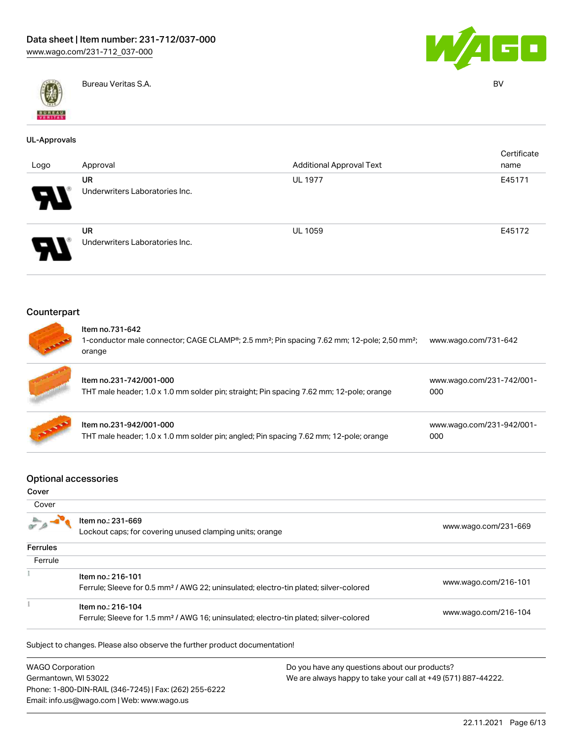



Bureau Veritas S.A. BV

#### UL-Approvals

| Logo                       | Approval                                    | <b>Additional Approval Text</b> | Certificate<br>name |
|----------------------------|---------------------------------------------|---------------------------------|---------------------|
| ГV                         | <b>UR</b><br>Underwriters Laboratories Inc. | <b>UL 1977</b>                  | E45171              |
| $\boldsymbol{\mathcal{A}}$ | <b>UR</b><br>Underwriters Laboratories Inc. | <b>UL 1059</b>                  | E45172              |

#### Counterpart



#### Item no.731-642

1-conductor male connector; CAGE CLAMP®; 2.5 mm²; Pin spacing 7.62 mm; 12-pole; 2,50 mm²; [www.wago.com/731-642](https://www.wago.com/731-642) orange

| Item no.231-742/001-000<br>THT male header; 1.0 x 1.0 mm solder pin; straight; Pin spacing 7.62 mm; 12-pole; orange | www.wago.com/231-742/001-<br>000 |
|---------------------------------------------------------------------------------------------------------------------|----------------------------------|
| Item no.231-942/001-000<br>THT male header; 1.0 x 1.0 mm solder pin; angled; Pin spacing 7.62 mm; 12-pole; orange   | www.wago.com/231-942/001-<br>000 |

#### Optional accessories

| Cover           |                                                                                                                        |                      |
|-----------------|------------------------------------------------------------------------------------------------------------------------|----------------------|
| Cover           |                                                                                                                        |                      |
|                 | Item no.: 231-669<br>Lockout caps; for covering unused clamping units; orange                                          | www.wago.com/231-669 |
| <b>Ferrules</b> |                                                                                                                        |                      |
| Ferrule         |                                                                                                                        |                      |
|                 | Item no.: 216-101<br>Ferrule; Sleeve for 0.5 mm <sup>2</sup> / AWG 22; uninsulated; electro-tin plated; silver-colored | www.wago.com/216-101 |
|                 | Item no.: 216-104                                                                                                      |                      |
|                 | Ferrule; Sleeve for 1.5 mm <sup>2</sup> / AWG 16; uninsulated; electro-tin plated; silver-colored                      | www.wago.com/216-104 |
|                 | Subject to changes. Please also observe the further product documentation!                                             |                      |
|                 |                                                                                                                        |                      |

WAGO Corporation Germantown, WI 53022 Phone: 1-800-DIN-RAIL (346-7245) | Fax: (262) 255-6222 Email: info.us@wago.com | Web: www.wago.us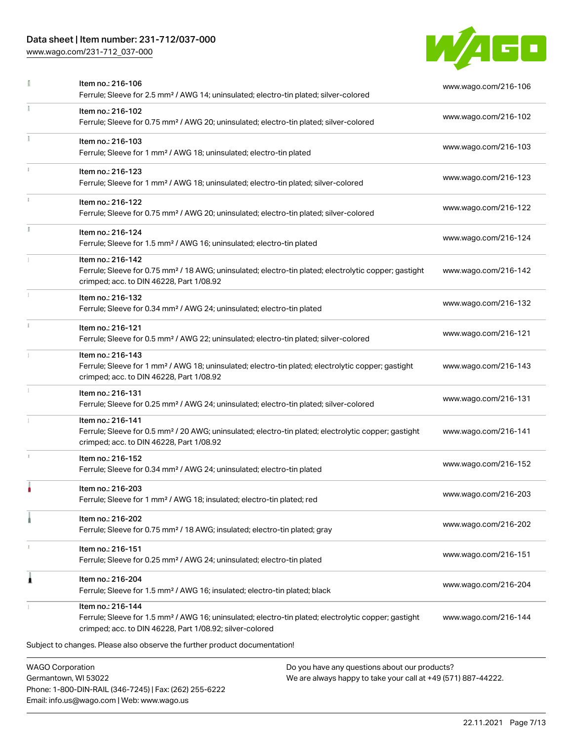# Data sheet | Item number: 231-712/037-000

Phone: 1-800-DIN-RAIL (346-7245) | Fax: (262) 255-6222

Email: info.us@wago.com | Web: www.wago.us

[www.wago.com/231-712\\_037-000](http://www.wago.com/231-712_037-000)



|                         | Item no.: 216-106<br>Ferrule; Sleeve for 2.5 mm <sup>2</sup> / AWG 14; uninsulated; electro-tin plated; silver-colored                                                                            |                                                                                                                | www.wago.com/216-106 |
|-------------------------|---------------------------------------------------------------------------------------------------------------------------------------------------------------------------------------------------|----------------------------------------------------------------------------------------------------------------|----------------------|
| ī.                      | Item no.: 216-102<br>Ferrule; Sleeve for 0.75 mm <sup>2</sup> / AWG 20; uninsulated; electro-tin plated; silver-colored                                                                           |                                                                                                                | www.wago.com/216-102 |
|                         | Item no.: 216-103<br>Ferrule; Sleeve for 1 mm <sup>2</sup> / AWG 18; uninsulated; electro-tin plated                                                                                              |                                                                                                                | www.wago.com/216-103 |
|                         | Item no.: 216-123<br>Ferrule; Sleeve for 1 mm <sup>2</sup> / AWG 18; uninsulated; electro-tin plated; silver-colored                                                                              |                                                                                                                | www.wago.com/216-123 |
|                         | Item no.: 216-122<br>Ferrule; Sleeve for 0.75 mm <sup>2</sup> / AWG 20; uninsulated; electro-tin plated; silver-colored                                                                           |                                                                                                                | www.wago.com/216-122 |
|                         | Item no.: 216-124<br>Ferrule; Sleeve for 1.5 mm <sup>2</sup> / AWG 16; uninsulated; electro-tin plated                                                                                            |                                                                                                                | www.wago.com/216-124 |
|                         | Item no.: 216-142<br>Ferrule; Sleeve for 0.75 mm <sup>2</sup> / 18 AWG; uninsulated; electro-tin plated; electrolytic copper; gastight<br>crimped; acc. to DIN 46228, Part 1/08.92                |                                                                                                                | www.wago.com/216-142 |
|                         | Item no.: 216-132<br>Ferrule; Sleeve for 0.34 mm <sup>2</sup> / AWG 24; uninsulated; electro-tin plated                                                                                           |                                                                                                                | www.wago.com/216-132 |
|                         | Item no.: 216-121<br>Ferrule; Sleeve for 0.5 mm <sup>2</sup> / AWG 22; uninsulated; electro-tin plated; silver-colored                                                                            |                                                                                                                | www.wago.com/216-121 |
|                         | Item no.: 216-143<br>Ferrule; Sleeve for 1 mm <sup>2</sup> / AWG 18; uninsulated; electro-tin plated; electrolytic copper; gastight<br>crimped; acc. to DIN 46228, Part 1/08.92                   |                                                                                                                | www.wago.com/216-143 |
|                         | Item no.: 216-131<br>Ferrule; Sleeve for 0.25 mm <sup>2</sup> / AWG 24; uninsulated; electro-tin plated; silver-colored                                                                           |                                                                                                                | www.wago.com/216-131 |
|                         | Item no.: 216-141<br>Ferrule; Sleeve for 0.5 mm <sup>2</sup> / 20 AWG; uninsulated; electro-tin plated; electrolytic copper; gastight<br>crimped; acc. to DIN 46228, Part 1/08.92                 |                                                                                                                | www.wago.com/216-141 |
|                         | Item no.: 216-152<br>Ferrule; Sleeve for 0.34 mm <sup>2</sup> / AWG 24; uninsulated; electro-tin plated                                                                                           |                                                                                                                | www.wago.com/216-152 |
|                         | Item no.: 216-203<br>Ferrule; Sleeve for 1 mm <sup>2</sup> / AWG 18; insulated; electro-tin plated; red                                                                                           |                                                                                                                | www.wago.com/216-203 |
|                         | Item no.: 216-202<br>Ferrule; Sleeve for 0.75 mm <sup>2</sup> / 18 AWG; insulated; electro-tin plated; gray                                                                                       |                                                                                                                | www.wago.com/216-202 |
| ı                       | Item no.: 216-151<br>Ferrule; Sleeve for 0.25 mm <sup>2</sup> / AWG 24; uninsulated; electro-tin plated                                                                                           |                                                                                                                | www.wago.com/216-151 |
| ı                       | Item no.: 216-204<br>Ferrule; Sleeve for 1.5 mm <sup>2</sup> / AWG 16; insulated; electro-tin plated; black                                                                                       |                                                                                                                | www.wago.com/216-204 |
|                         | Item no.: 216-144<br>Ferrule; Sleeve for 1.5 mm <sup>2</sup> / AWG 16; uninsulated; electro-tin plated; electrolytic copper; gastight<br>crimped; acc. to DIN 46228, Part 1/08.92; silver-colored |                                                                                                                | www.wago.com/216-144 |
|                         | Subject to changes. Please also observe the further product documentation!                                                                                                                        |                                                                                                                |                      |
| <b>WAGO Corporation</b> | Germantown, WI 53022                                                                                                                                                                              | Do you have any questions about our products?<br>We are always happy to take your call at +49 (571) 887-44222. |                      |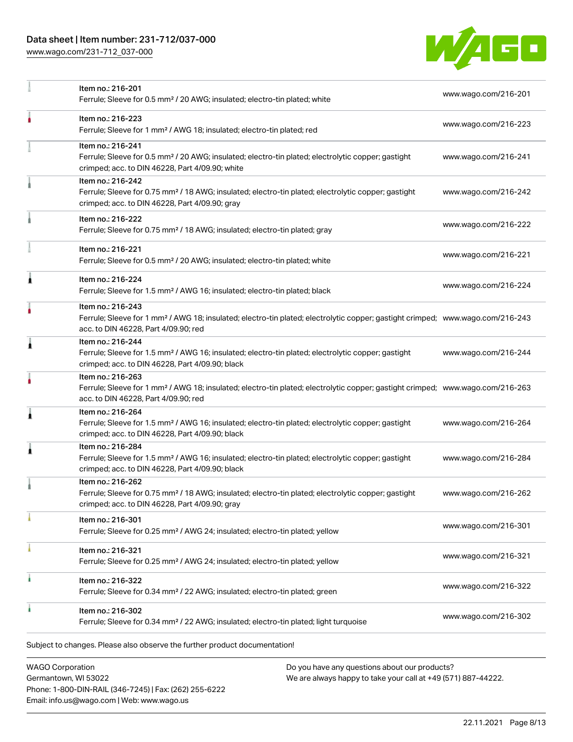# Data sheet | Item number: 231-712/037-000

[www.wago.com/231-712\\_037-000](http://www.wago.com/231-712_037-000)



| Item no.: 216-201<br>Ferrule; Sleeve for 0.5 mm <sup>2</sup> / 20 AWG; insulated; electro-tin plated; white                                                                            | www.wago.com/216-201                                                                                                                                                                                                                                                                     |
|----------------------------------------------------------------------------------------------------------------------------------------------------------------------------------------|------------------------------------------------------------------------------------------------------------------------------------------------------------------------------------------------------------------------------------------------------------------------------------------|
| Item no.: 216-223<br>Ferrule; Sleeve for 1 mm <sup>2</sup> / AWG 18; insulated; electro-tin plated; red                                                                                | www.wago.com/216-223                                                                                                                                                                                                                                                                     |
| Item no.: 216-241<br>Ferrule; Sleeve for 0.5 mm <sup>2</sup> / 20 AWG; insulated; electro-tin plated; electrolytic copper; gastight<br>crimped; acc. to DIN 46228, Part 4/09.90; white | www.wago.com/216-241                                                                                                                                                                                                                                                                     |
| Item no.: 216-242<br>Ferrule; Sleeve for 0.75 mm <sup>2</sup> / 18 AWG; insulated; electro-tin plated; electrolytic copper; gastight<br>crimped; acc. to DIN 46228, Part 4/09.90; gray | www.wago.com/216-242                                                                                                                                                                                                                                                                     |
| Item no.: 216-222<br>Ferrule; Sleeve for 0.75 mm <sup>2</sup> / 18 AWG; insulated; electro-tin plated; gray                                                                            | www.wago.com/216-222                                                                                                                                                                                                                                                                     |
| Item no.: 216-221<br>Ferrule; Sleeve for 0.5 mm <sup>2</sup> / 20 AWG; insulated; electro-tin plated; white                                                                            | www.wago.com/216-221                                                                                                                                                                                                                                                                     |
| Item no.: 216-224<br>Ferrule; Sleeve for 1.5 mm <sup>2</sup> / AWG 16; insulated; electro-tin plated; black                                                                            | www.wago.com/216-224                                                                                                                                                                                                                                                                     |
| Item no.: 216-243<br>acc. to DIN 46228, Part 4/09.90; red                                                                                                                              |                                                                                                                                                                                                                                                                                          |
| Item no.: 216-244<br>Ferrule; Sleeve for 1.5 mm <sup>2</sup> / AWG 16; insulated; electro-tin plated; electrolytic copper; gastight<br>crimped; acc. to DIN 46228, Part 4/09.90; black | www.wago.com/216-244                                                                                                                                                                                                                                                                     |
| Item no.: 216-263<br>acc. to DIN 46228, Part 4/09.90; red                                                                                                                              |                                                                                                                                                                                                                                                                                          |
| Item no.: 216-264<br>Ferrule; Sleeve for 1.5 mm <sup>2</sup> / AWG 16; insulated; electro-tin plated; electrolytic copper; gastight<br>crimped; acc. to DIN 46228, Part 4/09.90; black | www.wago.com/216-264                                                                                                                                                                                                                                                                     |
| Item no.: 216-284<br>Ferrule; Sleeve for 1.5 mm <sup>2</sup> / AWG 16; insulated; electro-tin plated; electrolytic copper; gastight<br>crimped; acc. to DIN 46228, Part 4/09.90; black | www.wago.com/216-284                                                                                                                                                                                                                                                                     |
| Item no.: 216-262<br>Ferrule; Sleeve for 0.75 mm <sup>2</sup> / 18 AWG; insulated; electro-tin plated; electrolytic copper; gastight<br>crimped; acc. to DIN 46228, Part 4/09.90; gray | www.wago.com/216-262                                                                                                                                                                                                                                                                     |
| Item no.: 216-301<br>Ferrule; Sleeve for 0.25 mm <sup>2</sup> / AWG 24; insulated; electro-tin plated; yellow                                                                          | www.wago.com/216-301                                                                                                                                                                                                                                                                     |
| Item no.: 216-321<br>Ferrule; Sleeve for 0.25 mm <sup>2</sup> / AWG 24; insulated; electro-tin plated; yellow                                                                          | www.wago.com/216-321                                                                                                                                                                                                                                                                     |
| Item no.: 216-322<br>Ferrule; Sleeve for 0.34 mm <sup>2</sup> / 22 AWG; insulated; electro-tin plated; green                                                                           | www.wago.com/216-322                                                                                                                                                                                                                                                                     |
| Item no.: 216-302<br>Ferrule; Sleeve for 0.34 mm <sup>2</sup> / 22 AWG; insulated; electro-tin plated; light turquoise                                                                 | www.wago.com/216-302                                                                                                                                                                                                                                                                     |
|                                                                                                                                                                                        | Ferrule; Sleeve for 1 mm <sup>2</sup> / AWG 18; insulated; electro-tin plated; electrolytic copper; gastight crimped; www.wago.com/216-243<br>Ferrule; Sleeve for 1 mm <sup>2</sup> / AWG 18; insulated; electro-tin plated; electrolytic copper; gastight crimped; www.wago.com/216-263 |

WAGO Corporation Germantown, WI 53022 Phone: 1-800-DIN-RAIL (346-7245) | Fax: (262) 255-6222 Email: info.us@wago.com | Web: www.wago.us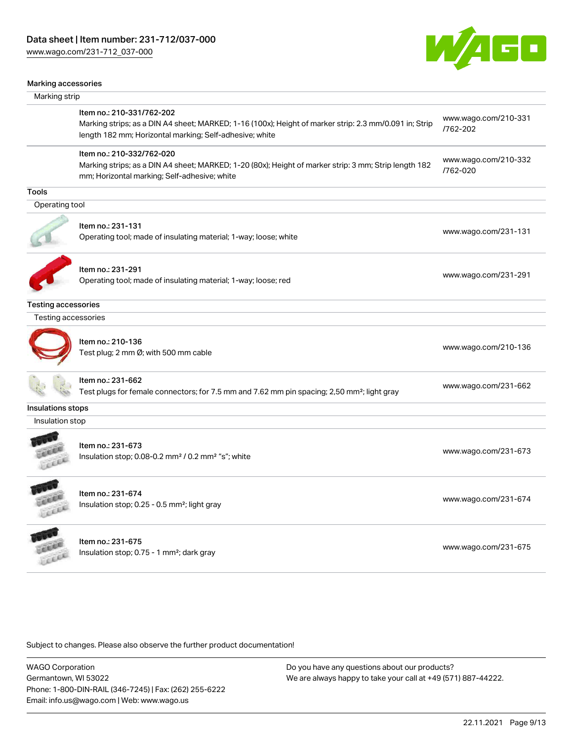[www.wago.com/231-712\\_037-000](http://www.wago.com/231-712_037-000)



#### Marking accessories

| Marking strip              |                                                                                                                                                                                                |                                  |
|----------------------------|------------------------------------------------------------------------------------------------------------------------------------------------------------------------------------------------|----------------------------------|
|                            | Item no.: 210-331/762-202<br>Marking strips; as a DIN A4 sheet; MARKED; 1-16 (100x); Height of marker strip: 2.3 mm/0.091 in; Strip<br>length 182 mm; Horizontal marking; Self-adhesive; white | www.wago.com/210-331<br>/762-202 |
|                            | Item no.: 210-332/762-020<br>Marking strips; as a DIN A4 sheet; MARKED; 1-20 (80x); Height of marker strip: 3 mm; Strip length 182<br>mm; Horizontal marking; Self-adhesive; white             | www.wago.com/210-332<br>/762-020 |
| <b>Tools</b>               |                                                                                                                                                                                                |                                  |
| Operating tool             |                                                                                                                                                                                                |                                  |
|                            | Item no.: 231-131<br>Operating tool; made of insulating material; 1-way; loose; white                                                                                                          | www.wago.com/231-131             |
|                            | Item no.: 231-291<br>Operating tool; made of insulating material; 1-way; loose; red                                                                                                            | www.wago.com/231-291             |
| <b>Testing accessories</b> |                                                                                                                                                                                                |                                  |
| Testing accessories        |                                                                                                                                                                                                |                                  |
|                            | Item no.: 210-136<br>Test plug; 2 mm Ø; with 500 mm cable                                                                                                                                      | www.wago.com/210-136             |
|                            | Item no.: 231-662<br>Test plugs for female connectors; for 7.5 mm and 7.62 mm pin spacing; 2,50 mm²; light gray                                                                                | www.wago.com/231-662             |
| Insulations stops          |                                                                                                                                                                                                |                                  |
| Insulation stop            |                                                                                                                                                                                                |                                  |
| LEEEE                      | Item no.: 231-673<br>Insulation stop; 0.08-0.2 mm <sup>2</sup> / 0.2 mm <sup>2</sup> "s"; white                                                                                                | www.wago.com/231-673             |
| Lecce                      | Item no.: 231-674<br>Insulation stop; 0.25 - 0.5 mm <sup>2</sup> ; light gray                                                                                                                  | www.wago.com/231-674             |
| LEEEL                      | Item no.: 231-675<br>Insulation stop; 0.75 - 1 mm <sup>2</sup> ; dark gray                                                                                                                     | www.wago.com/231-675             |

Subject to changes. Please also observe the further product documentation!

WAGO Corporation Germantown, WI 53022 Phone: 1-800-DIN-RAIL (346-7245) | Fax: (262) 255-6222 Email: info.us@wago.com | Web: www.wago.us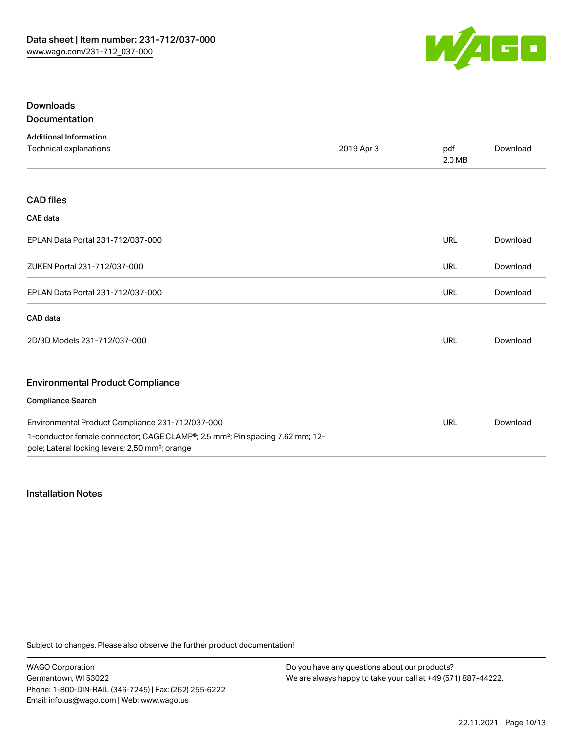

## Downloads Documentation

| <b>Additional Information</b>                                                                                                                            |            |               |          |
|----------------------------------------------------------------------------------------------------------------------------------------------------------|------------|---------------|----------|
| Technical explanations                                                                                                                                   | 2019 Apr 3 | pdf<br>2.0 MB | Download |
|                                                                                                                                                          |            |               |          |
| <b>CAD files</b>                                                                                                                                         |            |               |          |
| <b>CAE</b> data                                                                                                                                          |            |               |          |
| EPLAN Data Portal 231-712/037-000                                                                                                                        |            | <b>URL</b>    | Download |
| ZUKEN Portal 231-712/037-000                                                                                                                             |            | <b>URL</b>    | Download |
| EPLAN Data Portal 231-712/037-000                                                                                                                        |            | <b>URL</b>    | Download |
| CAD data                                                                                                                                                 |            |               |          |
| 2D/3D Models 231-712/037-000                                                                                                                             |            | <b>URL</b>    | Download |
| <b>Environmental Product Compliance</b>                                                                                                                  |            |               |          |
| <b>Compliance Search</b>                                                                                                                                 |            |               |          |
| Environmental Product Compliance 231-712/037-000                                                                                                         |            | <b>URL</b>    | Download |
| 1-conductor female connector; CAGE CLAMP®; 2.5 mm <sup>2</sup> ; Pin spacing 7.62 mm; 12-<br>pole; Lateral locking levers; 2,50 mm <sup>2</sup> ; orange |            |               |          |

#### Installation Notes

Subject to changes. Please also observe the further product documentation!

WAGO Corporation Germantown, WI 53022 Phone: 1-800-DIN-RAIL (346-7245) | Fax: (262) 255-6222 Email: info.us@wago.com | Web: www.wago.us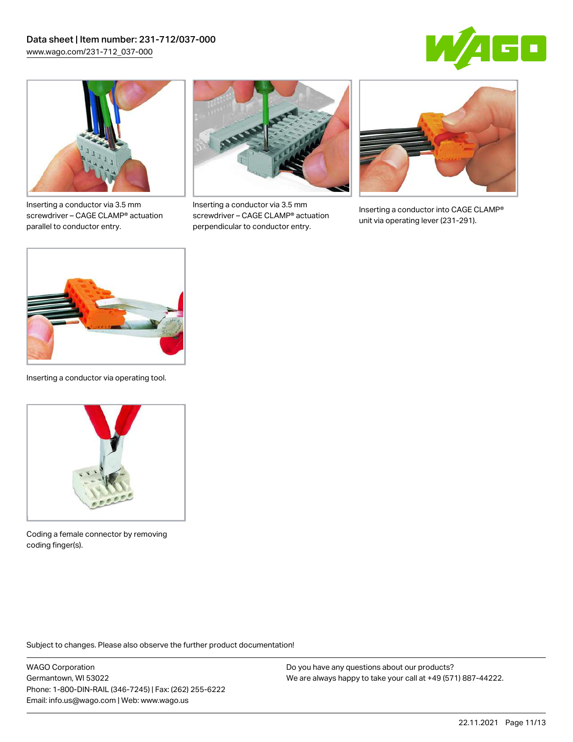



Inserting a conductor via 3.5 mm screwdriver – CAGE CLAMP® actuation parallel to conductor entry.



Inserting a conductor via 3.5 mm screwdriver – CAGE CLAMP® actuation perpendicular to conductor entry.



Inserting a conductor into CAGE CLAMP® unit via operating lever (231-291).



Inserting a conductor via operating tool.



Coding a female connector by removing coding finger(s).

Subject to changes. Please also observe the further product documentation!

WAGO Corporation Germantown, WI 53022 Phone: 1-800-DIN-RAIL (346-7245) | Fax: (262) 255-6222 Email: info.us@wago.com | Web: www.wago.us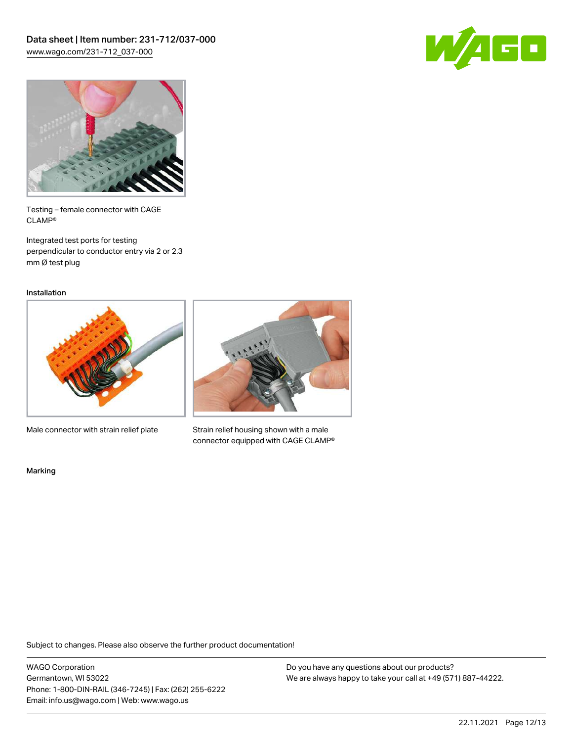



Testing – female connector with CAGE CLAMP®

Integrated test ports for testing perpendicular to conductor entry via 2 or 2.3 mm Ø test plug

Installation



Male connector with strain relief plate



Strain relief housing shown with a male connector equipped with CAGE CLAMP®

Marking

Subject to changes. Please also observe the further product documentation!

WAGO Corporation Germantown, WI 53022 Phone: 1-800-DIN-RAIL (346-7245) | Fax: (262) 255-6222 Email: info.us@wago.com | Web: www.wago.us